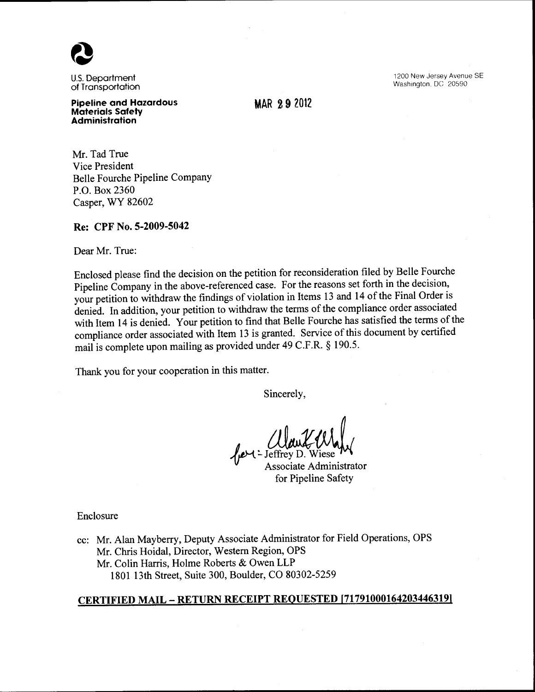U.S. Department of Transportation

Pipeline and Hazardous Materials Safety Administration

MAR 2 9 2012

1200 New Jersey Avenue SE Washington, DC 20590

Mr. Tad True Vice President Belle Fourche Pipeline Company P.O. Box 2360 Casper, WY 82602

### Re: CPF No. 5-2009-5042

Dear Mr. True:

Enclosed please find the decision on the petition for reconsideration filed by Belle Fourche Pipeline Company in the above-referenced case. For the reasons set forth in the decision, your petition to withdraw the findings of violation in Items 13 and 14 of the Final Order is denied. In addition, your petition to withdraw the terms of the compliance order associated with Item 14 is denied. Your petition to find that Belle Fourche has satisfied the terms of the compliance order associated with Item 13 is granted. Service of this document by certified mail is complete upon mailing as provided under 49 C.F.R. § 190.5.

Thank you for your cooperation in this matter.

Sincerely,

Associate Administrator for Pipeline Safety

Enclosure

cc: Mr. Alan Mayberry, Deputy Associate Administrator for Field Operations, OPS Mr. Chris Hoidal, Director, Western Region, OPS Mr. Colin Harris, Holme Roberts & Owen LLP 1801 13th Street, Suite 300, Boulder, CO 80302-5259

# CERTIFIED MAIL- RETURN RECEIPT REQUESTED [717910001642034463191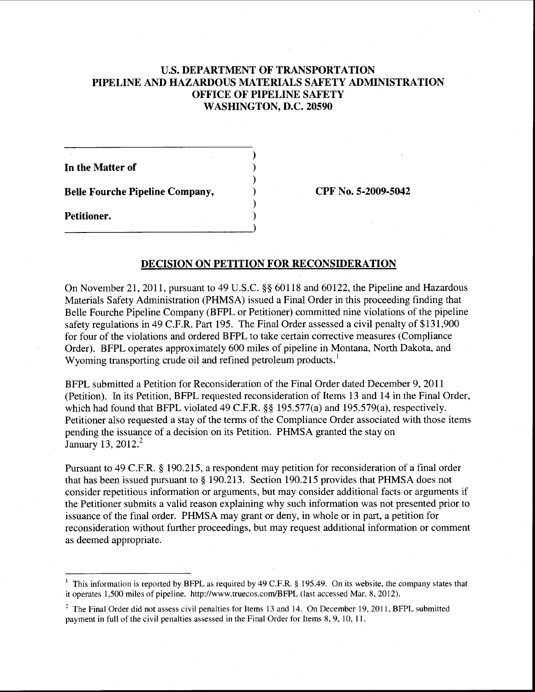# U.S. DEPARTMENT OF TRANSPORTATION PIPELINE AND HAZARDOUS MATERIALS SAFETY ADMINISTRATION OFFICE OF PIPELINE SAFETY WASHINGTON, D.C. 20590

) ) ) ) ) )

In the Matter of

Belle Fourche Pipeline Company,

Petitioner.  $\frac{1}{2}$  CPF No. 5-2009-5042

### DECISION ON PETITION FOR RECONSIDERATION

On November 21, 2011, pursuant to 49 U.S.C. §§ 60118 and 60122, the Pipeline and Hazardous Materials Safety Administration (PHMSA) issued a Final Order in this proceeding finding that Belle Fourche Pipeline Company (BFPL or Petitioner) committed nine violations of the pipeline safety regulations in 49 C.F.R. Part 195. The Final Order assessed a civil penalty of \$131,900 for four of the violations and ordered BFPL to take certain corrective measures (Compliance Order). BFPL operates approximately 600 miles of pipeline in Montana, North Dakota, and Wyoming transporting crude oil and refined petroleum products.'

BFPL submitted a Petition for Reconsideration of the Final Order dated December 9, 2011 (Petition). In its Petition, BFPL requested reconsideration of Items 13 and 14 in the Final Order, which had found that BFPL violated 49 C.F.R. §§ 195.577(a) and 195.579(a), respectively. Petitioner also requested a stay of the terms of the Compliance Order associated with those items pending the issuance of a decision on its Petition. PHMSA granted the stay on January 13, 2012.<sup>2</sup>

Pursuant to 49 C.F.R. § 190.215, a respondent may petition for reconsideration of a final order that has been issued pursuant to§ 190.213. Section 190.215 provides that PHMSA does not consider repetitious information or arguments, but may consider additional facts or arguments if the Petitioner submits a valid reason explaining why such information was not presented prior to issuance of the final order. PHMSA may grant or deny, in whole or in part, a petition for reconsideration without further proceedings, but may request additional information or comment as deemed appropriate.

<sup>&</sup>lt;sup>1</sup> This information is reported by BFPL as required by 49 C.F.R. § 195.49. On its website, the company states that it operates I ,500 miles of pipeline. http://www.truecos.com/BFPL (last accessed Mar. 8, 20 12).

 $2$  The Final Order did not assess civil penalties for Items 13 and 14. On December 19, 2011, BFPL submitted payment in full of the civil penalties assessed in the Final Order for Items 8, 9, 10, 11.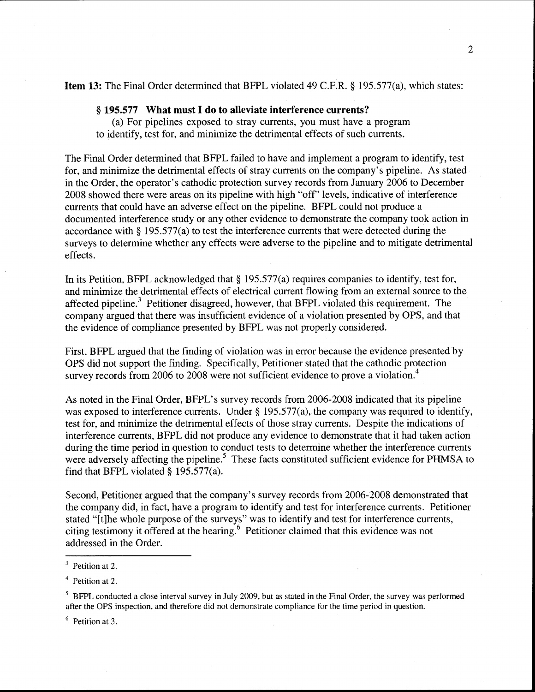### **Item 13:** The Final Order determined that BFPL violated 49 C.F.R. § 195.577(a), which states:

#### § **195.577 What must I do to alleviate interference currents?**

(a) For pipelines exposed to stray currents, you must have a program to identify, test for, and minimize the detrimental effects of such currents.

The Final Order determined that BFPL failed to have and implement a program to identify, test for, and minimize the detrimental effects of stray currents on the company's pipeline. As stated in the Order, the operator's cathodic protection survey records from January 2006 to December 2008 showed there were areas on its pipeline with high "off' levels, indicative of interference currents that could have an adverse effect on the pipeline. BFPL could not produce a documented interference study or any other evidence to demonstrate the company took action in accordance with§ 195.577(a) to test the interference currents that were detected during the surveys to determine whether any effects were adverse to the pipeline and to mitigate detrimental effects.

In its Petition, BFPL acknowledged that  $\S 195.577(a)$  requires companies to identify, test for, and minimize the detrimental effects of electrical current flowing from an external source to the affected pipeline.<sup>3</sup> Petitioner disagreed, however, that BFPL violated this requirement. The company argued that there was insufficient evidence of a violation presented by OPS, and that the evidence of compliance presented by BFPL was not properly considered.

First, BFPL argued that the finding of violation was in error because the evidence presented by OPS did not support the finding. Specifically, Petitioner stated that the cathodic protection survey records from 2006 to 2008 were not sufficient evidence to prove a violation.<sup>4</sup>

As noted in the Final Order, BFPL's survey records from 2006-2008 indicated that its pipeline was exposed to interference currents. Under § 195.577(a), the company was required to identify, test for, and minimize the detrimental effects of those stray currents. Despite the indications of interference currents, BFPL did not produce any evidence to demonstrate that it had taken action during the time period in question to conduct tests to determine whether the interference currents were adversely affecting the pipeline.<sup>5</sup> These facts constituted sufficient evidence for PHMSA to find that BFPL violated  $\S$  195.577(a).

Second, Petitioner argued that the company's survey records from 2006-2008 demonstrated that the company did, in fact, have a program to identify and test for interference currents. Petitioner stated "[t]he whole purpose of the surveys" was to identify and test for interference currents, citing testimony it offered at the hearing. 6 Petitioner claimed that this evidence was not addressed in the Order.

6 Petition at 3.

<sup>&</sup>lt;sup>3</sup> Petition at 2.

<sup>4</sup> Petition at 2.

<sup>&</sup>lt;sup>5</sup> BFPL conducted a close interval survey in July 2009, but as stated in the Final Order, the survey was performed after the OPS inspection, and therefore did not demonstrate compliance for the time period in question.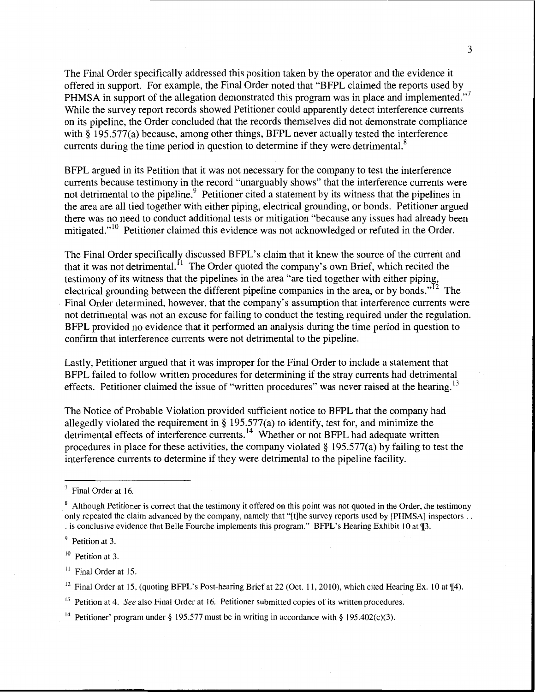The Final Order specifically addressed this position taken by the operator and the evidence it offered in support. For example, the Final Order noted that "BFPL claimed the reports used by PHMSA in support of the allegation demonstrated this program was in place and implemented."<sup>7</sup> While the survey report records showed Petitioner could apparently detect interference currents on its pipeline, the Order concluded that the records themselves did not demonstrate compliance with § 195.577(a) because, among other things, BFPL never actually tested the interference currents during the time period in question to determine if they were detrimental. $8$ 

BFPL argued in its Petition that it was not necessary for the company to test the interference currents because testimony in the record "unarguably shows" that the interference currents were not detrimental to the pipeline.<sup>9</sup> Petitioner cited a statement by its witness that the pipelines in the area are all tied together with either piping, electrical grounding, or bonds. Petitioner argued there was no need to conduct additional tests or mitigation "because any issues had already been mitigated."<sup>10</sup> Petitioner claimed this evidence was not acknowledged or refuted in the Order.

The Final Order specifically discussed BFPL's claim that it knew the source of the current and that it was not detrimental.  $\left[1\right]$  The Order quoted the company's own Brief, which recited the testimony of its witness that the pipelines in the area "are tied together with either piping, electrical grounding between the different pipeline companies in the area, or by bonds."<sup>12</sup> The . Final Order determined, however, that the company's assumption that interference currents were not detrimental was not an excuse for failing to conduct the testing required under the regulation. BFPL provided no evidence that it performed an analysis during the time period in question to confirm that interference currents were not detrimental to the pipeline.

Lastly, Petitioner argued that it was improper for the Final Order to include a statement that BFPL failed to follow written procedures for determining if the stray currents had detrimental effects. Petitioner claimed the issue of "written procedures" was never raised at the hearing.<sup>13</sup>

The Notice of Probable Violation provided sufficient notice to BFPL that the company had allegedly violated the requirement in§ 195.577(a) to identify, test for, and minimize the detrimental effects of interference currents.<sup>14</sup> Whether or not BFPL had adequate written procedures in place for these activities, the company violated§ 195.577(a) by failing to test the interference currents to determine if they were detrimental to the pipeline facility.

Final Order at 16.

<sup>&</sup>lt;sup>8</sup> Although Petitioner is correct that the testimony it offered on this point was not quoted in the Order, the testimony only repeated the claim advanced by the company, namely that "[t]he survey reports used by [PHMSA] inspectors .. . is conclusive evidence that Belle Fourche implements this program." BFPL's Hearing Exhibit 10 at ¶3.

<sup>&</sup>lt;sup>9</sup> Petition at 3.

 $10$  Petition at 3.

<sup>&</sup>lt;sup>11</sup> Final Order at 15.

<sup>&</sup>lt;sup>12</sup> Final Order at 15, (quoting BFPL's Post-hearing Brief at 22 (Oct. 11, 2010), which cited Hearing Ex. 10 at  $\P$ 4).

<sup>&</sup>lt;sup>13</sup> Petition at 4. *See* also Final Order at 16. Petitioner submitted copies of its written procedures.

<sup>&</sup>lt;sup>14</sup> Petitioner' program under § 195.577 must be in writing in accordance with § 195.402(c)(3).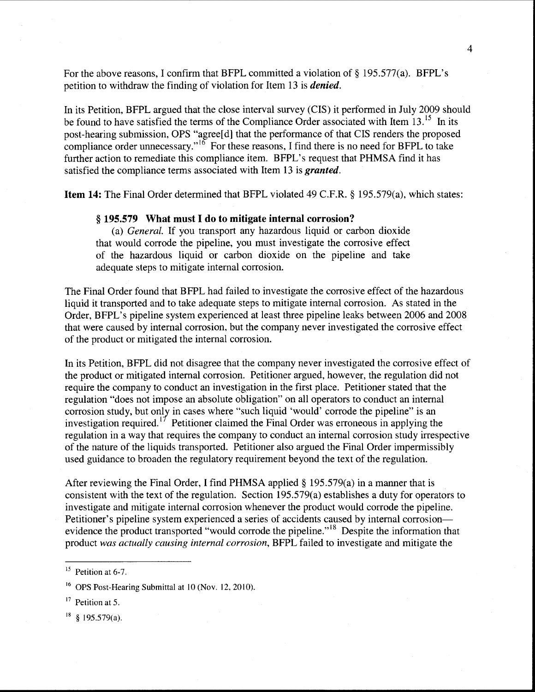For the above reasons, I confirm that BFPL committed a violation of  $\S$  195.577(a). BFPL's petition to withdraw the finding of violation for Item 13 is *denied.* 

In its Petition, BFPL argued that the close interval survey (CIS) it performed in July 2009 should be found to have satisfied the terms of the Compliance Order associated with Item 13.<sup>15</sup> In its post-hearing submission, OPS "agree[d] that the performance of that CIS renders the proposed compliance order unnecessary."<sup>16</sup> For these reasons, I find there is no need for BFPL to take further action to remediate this compliance item. BFPL's request that PHMSA find it has satisfied the compliance terms associated with Item 13 is *granted.* 

Item 14: The Final Order determined that BFPL violated 49 C.F.R. § 195.579(a), which states:

### § 195.579 What must I do to mitigate internal corrosion?

(a) *General.* If you transport any hazardous liquid or carbon dioxide that would corrode the pipeline, you must investigate the corrosive effect of the hazardous liquid or carbon dioxide on the pipeline and take adequate steps to mitigate internal corrosion.

The Final Order found that BFPL had failed to investigate the corrosive effect of the hazardous liquid it transported and to take adequate steps to mitigate internal corrosion. As stated in the Order, BFPL's pipeline system experienced at least three pipeline leaks between 2006 and 2008 that were caused by internal corrosion, but the company never investigated the corrosive effect of the product or mitigated the internal corrosion.

In its Petition, BFPL did not disagree that the company never investigated the corrosive effect of the product or mitigated internal corrosion. Petitioner argued, however, the regulation did not require the company to conduct an investigation in the first place. Petitioner stated that the regulation "does not impose an absolute obligation" on all operators to conduct an internal corrosion study, but only in cases where "such liquid 'would' corrode the pipeline" is an investigation required.<sup>17</sup> Petitioner claimed the Final Order was erroneous in applying the regulation in a way that requires the company to conduct an internal corrosion study irrespective of the nature of the liquids transported. Petitioner also argued the Final Order impermissibly used guidance to broaden the regulatory requirement beyond the text of the regulation.

After reviewing the Final Order, I find PHMSA applied§ 195.579(a) in a manner that is consistent with the text of the regulation. Section 195.579(a) establishes a duty for operators to investigate and mitigate internal corrosion whenever the product would corrode the pipeline. Petitioner's pipeline system experienced a series of accidents caused by internal corrosionevidence the product transported "would corrode the pipeline."<sup>18</sup> Despite the information that product *was actually causing internal corrosion,* BFPL failed to investigate and mitigate the

 $15$  Petition at 6-7.

<sup>&</sup>lt;sup>16</sup> OPS Post-Hearing Submittal at 10 (Nov. 12, 2010).

<sup>&</sup>lt;sup>17</sup> Petition at 5.

 $18$  § 195.579(a).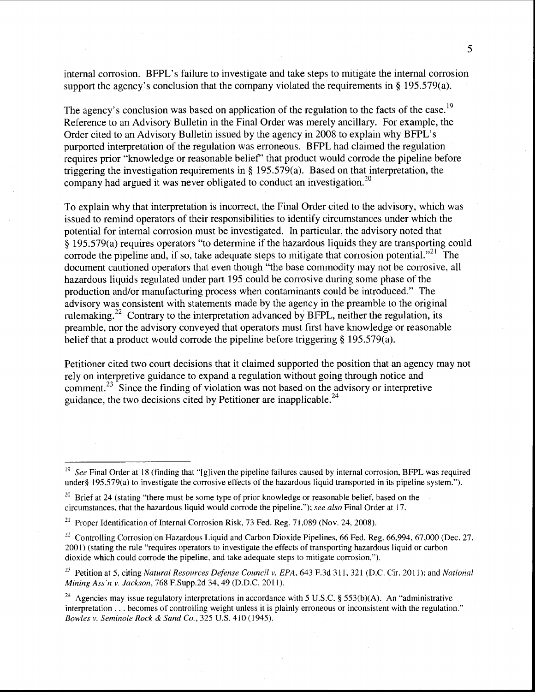internal corrosion. BFPL's failure to investigate and take steps to mitigate the internal corrosion support the agency's conclusion that the company violated the requirements in § 195.579(a).

The agency's conclusion was based on application of the regulation to the facts of the case.<sup>19</sup> Reference to an Advisory Bulletin in the Final Order was merely ancillary. For example, the Order cited to an Advisory Bulletin issued by the agency in 2008 to explain why BFPL's purported interpretation of the regulation was erroneous. BFPL had claimed the regulation requires prior "knowledge or reasonable belief' that product would corrode the pipeline before triggering the investigation requirements in§ 195.579(a). Based on that interpretation, the company had argued it was never obligated to conduct an investigation.<sup>20</sup>

To explain why that interpretation is incorrect, the Final Order cited to the advisory, which was issued to remind operators of their responsibilities to identify circumstances under which the potential for internal corrosion must be investigated. In particular, the advisory noted that  $\S$  195.579(a) requires operators "to determine if the hazardous liquids they are transporting could corrode the pipeline and, if so, take adequate steps to mitigate that corrosion potential.<sup> $21$ </sup> The document cautioned operators that even though "the base commodity may not be corrosive, all hazardous liquids regulated under part 195 could be corrosive during some phase of the production and/or manufacturing process when contaminants could be introduced." The advisory was consistent with statements made by the agency in the preamble to the original rulemaking.<sup>22</sup> Contrary to the interpretation advanced by BFPL, neither the regulation, its preamble, nor the advisory conveyed that operators must first have knowledge or reasonable belief that a product would corrode the pipeline before triggering § 195.579(a).

Petitioner cited two court decisions that it claimed supported the position that an agency may not rely on interpretive guidance to expand a regulation without going through notice and comment.<sup>23</sup> Since the finding of violation was not based on the advisory or interpretive guidance, the two decisions cited by Petitioner are inapplicable.<sup>24</sup>

<sup>&</sup>lt;sup>19</sup> See Final Order at 18 (finding that "[g]iven the pipeline failures caused by internal corrosion, BFPL was required under§ 195.579(a) to investigate the corrosive effects of the hazardous liquid transported in its pipeline system.").

 $20$  Brief at 24 (stating "there must be some type of prior knowledge or reasonable belief, based on the circumstances, that the hazardous liquid would corrode the pipeline."); *see also* Final Order at 17.

<sup>&</sup>lt;sup>21</sup> Proper Identification of Internal Corrosion Risk, 73 Fed. Reg. 71,089 (Nov. 24, 2008).

<sup>&</sup>lt;sup>22</sup> Controlling Corrosion on Hazardous Liquid and Carbon Dioxide Pipelines, 66 Fed. Reg. 66,994, 67,000 (Dec. 27, 200 I) (stating the rule "requires operators to investigate the effects of transporting hazardous liquid or carbon dioxide which could corrode the pipeline, and take adequate steps to mitigate corrosion.").

<sup>&</sup>lt;sup>23</sup> Petition at 5, citing *Natural Resources Defense Council v. EPA*, 643 F.3d 311, 321 (D.C. Cir. 2011); and *National Mining Ass'n v. Jackson,* 768 F.Supp.2d 34,49 (D.D.C. 2011).

<sup>&</sup>lt;sup>24</sup> Agencies may issue regulatory interpretations in accordance with 5 U.S.C. § 553(b)(A). An "administrative interpretation ... becomes of controlling weight unless it is plainly erroneous or inconsistent with the regulation." *Bowles v. Seminole Rock* & *Sand Co.,* 325 U.S. 410 (1945).